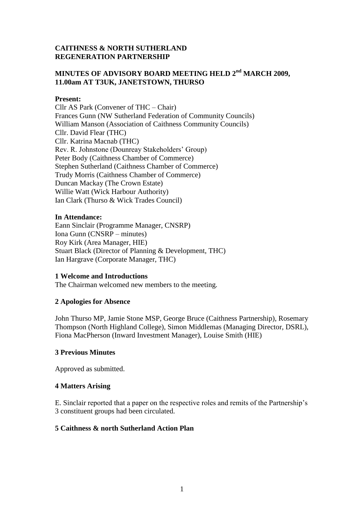### **CAITHNESS & NORTH SUTHERLAND REGENERATION PARTNERSHIP**

# **MINUTES OF ADVISORY BOARD MEETING HELD 2nd MARCH 2009, 11.00am AT T3UK, JANETSTOWN, THURSO**

#### **Present:**

Cllr AS Park (Convener of THC – Chair) Frances Gunn (NW Sutherland Federation of Community Councils) William Manson (Association of Caithness Community Councils) Cllr. David Flear (THC) Cllr. Katrina Macnab (THC) Rev. R. Johnstone (Dounreay Stakeholders' Group) Peter Body (Caithness Chamber of Commerce) Stephen Sutherland (Caithness Chamber of Commerce) Trudy Morris (Caithness Chamber of Commerce) Duncan Mackay (The Crown Estate) Willie Watt (Wick Harbour Authority) Ian Clark (Thurso & Wick Trades Council)

#### **In Attendance:**

Eann Sinclair (Programme Manager, CNSRP) Iona Gunn (CNSRP – minutes) Roy Kirk (Area Manager, HIE) Stuart Black (Director of Planning & Development, THC) Ian Hargrave (Corporate Manager, THC)

#### **1 Welcome and Introductions**

The Chairman welcomed new members to the meeting.

#### **2 Apologies for Absence**

John Thurso MP, Jamie Stone MSP, George Bruce (Caithness Partnership), Rosemary Thompson (North Highland College), Simon Middlemas (Managing Director, DSRL), Fiona MacPherson (Inward Investment Manager), Louise Smith (HIE)

#### **3 Previous Minutes**

Approved as submitted.

#### **4 Matters Arising**

E. Sinclair reported that a paper on the respective roles and remits of the Partnership's 3 constituent groups had been circulated.

#### **5 Caithness & north Sutherland Action Plan**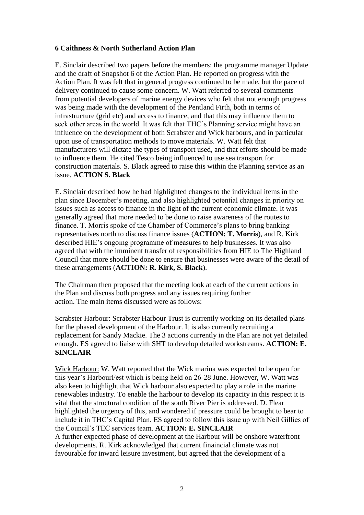### **6 Caithness & North Sutherland Action Plan**

E. Sinclair described two papers before the members: the programme manager Update and the draft of Snapshot 6 of the Action Plan. He reported on progress with the Action Plan. It was felt that in general progress continued to be made, but the pace of delivery continued to cause some concern. W. Watt referred to several comments from potential developers of marine energy devices who felt that not enough progress was being made with the development of the Pentland Firth, both in terms of infrastructure (grid etc) and access to finance, and that this may influence them to seek other areas in the world. It was felt that THC's Planning service might have an influence on the development of both Scrabster and Wick harbours, and in particular upon use of transportation methods to move materials. W. Watt felt that manufacturers will dictate the types of transport used, and that efforts should be made to influence them. He cited Tesco being influenced to use sea transport for construction materials. S. Black agreed to raise this within the Planning service as an issue. **ACTION S. Black**

E. Sinclair described how he had highlighted changes to the individual items in the plan since December's meeting, and also highlighted potential changes in priority on issues such as access to finance in the light of the current economic climate. It was generally agreed that more needed to be done to raise awareness of the routes to finance. T. Morris spoke of the Chamber of Commerce's plans to bring banking representatives north to discuss finance issues (**ACTION: T. Morris**), and R. Kirk described HIE's ongoing programme of measures to help businesses. It was also agreed that with the imminent transfer of responsibilities from HIE to The Highland Council that more should be done to ensure that businesses were aware of the detail of these arrangements (**ACTION: R. Kirk, S. Black**).

The Chairman then proposed that the meeting look at each of the current actions in the Plan and discuss both progress and any issues requiring further action. The main items discussed were as follows:

Scrabster Harbour: Scrabster Harbour Trust is currently working on its detailed plans for the phased development of the Harbour. It is also currently recruiting a replacement for Sandy Mackie. The 3 actions currently in the Plan are not yet detailed enough. ES agreed to liaise with SHT to develop detailed workstreams. **ACTION: E. SINCLAIR**

Wick Harbour: W. Watt reported that the Wick marina was expected to be open for this year's HarbourFest which is being held on 26-28 June. However, W. Watt was also keen to highlight that Wick harbour also expected to play a role in the marine renewables industry. To enable the harbour to develop its capacity in this respect it is vital that the structural condition of the south River Pier is addressed. D. Flear highlighted the urgency of this, and wondered if pressure could be brought to bear to include it in THC's Capital Plan. ES agreed to follow this issue up with Neil Gillies of the Council's TEC services team. **ACTION: E. SINCLAIR** A further expected phase of development at the Harbour will be onshore waterfront developments. R. Kirk acknowledged that current finaincial climate was not favourable for inward leisure investment, but agreed that the development of a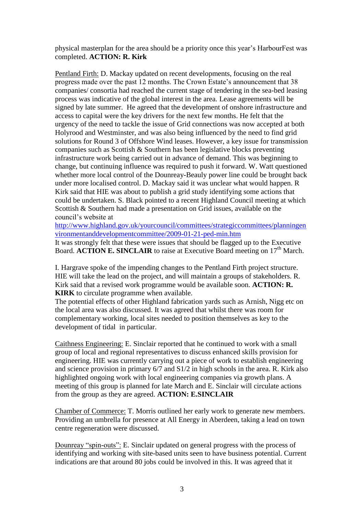physical masterplan for the area should be a priority once this year's HarbourFest was completed. **ACTION: R. Kirk**

Pentland Firth: D. Mackay updated on recent developments, focusing on the real progress made over the past 12 months. The Crown Estate's announcement that 38 companies/ consortia had reached the current stage of tendering in the sea-bed leasing process was indicative of the global interest in the area. Lease agreements will be signed by late summer. He agreed that the development of onshore infrastructure and access to capital were the key drivers for the next few months. He felt that the urgency of the need to tackle the issue of Grid connections was now accepted at both Holyrood and Westminster, and was also being influenced by the need to find grid solutions for Round 3 of Offshore Wind leases. However, a key issue for transmission companies such as Scottish & Southern has been legislative blocks preventing infrastructure work being carried out in advance of demand. This was beginning to change, but continuing influence was required to push it forward. W. Watt questioned whether more local control of the Dounreay-Beauly power line could be brought back under more localised control. D. Mackay said it was unclear what would happen. R Kirk said that HIE was about to publish a grid study identifying some actions that could be undertaken. S. Black pointed to a recent Highland Council meeting at which Scottish & Southern had made a presentation on Grid issues, available on the council's website at

[http://www.highland.gov.uk/yourcouncil/committees/strategiccommittees/planningen](http://www.highland.gov.uk/yourcouncil/committees/strategiccommittees/planningenvironmentanddevelopmentcommittee/2009-01-21-ped-min.htm) [vironmentanddevelopmentcommittee/2009-01-21-ped-min.htm](http://www.highland.gov.uk/yourcouncil/committees/strategiccommittees/planningenvironmentanddevelopmentcommittee/2009-01-21-ped-min.htm)

It was strongly felt that these were issues that should be flagged up to the Executive Board. **ACTION E. SINCLAIR** to raise at Executive Board meeting on 17<sup>th</sup> March.

I. Hargrave spoke of the impending changes to the Pentland Firth project structure. HIE will take the lead on the project, and will maintain a groups of stakeholders. R. Kirk said that a revised work programme would be available soon. **ACTION: R. KIRK** to circulate programme when available.

The potential effects of other Highland fabrication yards such as Arnish, Nigg etc on the local area was also discussed. It was agreed that whilst there was room for complementary working, local sites needed to position themselves as key to the development of tidal in particular.

Caithness Engineering: E. Sinclair reported that he continued to work with a small group of local and regional representatives to discuss enhanced skills provision for engineering. HIE was currently carrying out a piece of work to establish engineering and science provision in primary 6/7 and S1/2 in high schools in the area. R. Kirk also highlighted ongoing work with local engineering companies via growth plans. A meeting of this group is planned for late March and E. Sinclair will circulate actions from the group as they are agreed. **ACTION: E.SINCLAIR**

Chamber of Commerce: T. Morris outlined her early work to generate new members. Providing an umbrella for presence at All Energy in Aberdeen, taking a lead on town centre regeneration were discussed.

Dounreay "spin-outs": E. Sinclair updated on general progress with the process of identifying and working with site-based units seen to have business potential. Current indications are that around 80 jobs could be involved in this. It was agreed that it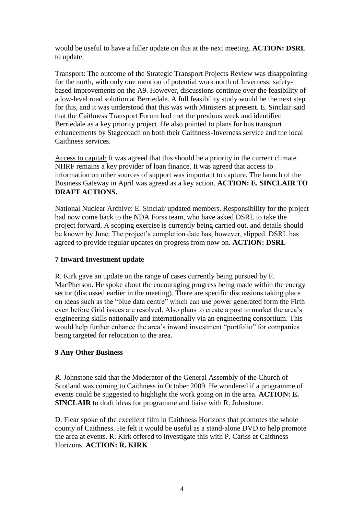would be useful to have a fuller update on this at the next meeting. **ACTION: DSRL** to update.

Transport: The outcome of the Strategic Transport Projects Review was disappointing for the north, with only one mention of potential work north of Inverness: safetybased improvements on the A9. However, discussions continue over the feasibility of a low-level road solution at Berriedale. A full feasibility study would be the next step for this, and it was understood that this was with Ministers at present. E. Sinclair said that the Caithness Transport Forum had met the previous week and identified Berriedale as a key priority project. He also pointed to plans for bus transport enhancements by Stagecoach on both their Caithness-Inverness service and the local Caithness services.

Access to capital: It was agreed that this should be a priority in the current climate. NHRF remains a key provider of loan finance. It was agreed that access to information on other sources of support was important to capture. The launch of the Business Gateway in April was agreed as a key action. **ACTION: E. SINCLAIR TO DRAFT ACTIONS.**

National Nuclear Archive: E. Sinclair updated members. Responsibility for the project had now come back to the NDA Forss team, who have asked DSRL to take the project forward. A scoping exercise is currently being carried out, and details should be known by June. The project's completion date has, however, slipped. DSRL has agreed to provide regular updates on progress from now on. **ACTION: DSRL**

## **7 Inward Investment update**

R. Kirk gave an update on the range of cases currently being pursued by F. MacPherson. He spoke about the encouraging progress being made within the energy sector (discussed earlier in the meeting). There are specific discussions taking place on ideas such as the "blue data centre" which can use power generated form the Firth even before Grid issues are resolved. Also plans to create a post to market the area's engineering skills nationally and internationally via an engineering consortium. This would help further enhance the area's inward investment "portfolio" for companies being targeted for relocation to the area.

#### **9 Any Other Business**

R. Johnstone said that the Moderator of the General Assembly of the Church of Scotland was coming to Caithness in October 2009. He wondered if a programme of events could be suggested to highlight the work going on in the area. **ACTION: E. SINCLAIR** to draft ideas for programme and liaise with R. Johnstone.

D. Flear spoke of the excellent film in Caithness Horizons that promotes the whole county of Caithness. He felt it would be useful as a stand-alone DVD to help promote the area at events. R. Kirk offered to investigate this with P. Cariss at Caithness Horizons. **ACTION: R. KIRK**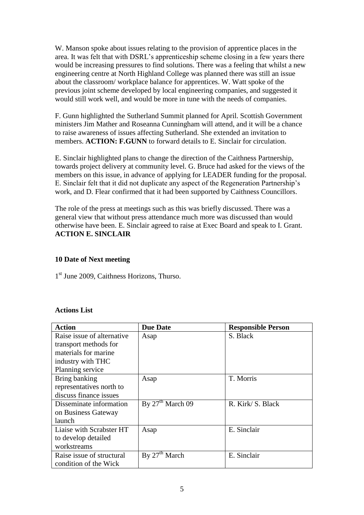W. Manson spoke about issues relating to the provision of apprentice places in the area. It was felt that with DSRL's apprenticeship scheme closing in a few years there would be increasing pressures to find solutions. There was a feeling that whilst a new engineering centre at North Highland College was planned there was still an issue about the classroom/ workplace balance for apprentices. W. Watt spoke of the previous joint scheme developed by local engineering companies, and suggested it would still work well, and would be more in tune with the needs of companies.

F. Gunn highlighted the Sutherland Summit planned for April. Scottish Government ministers Jim Mather and Roseanna Cunningham will attend, and it will be a chance to raise awareness of issues affecting Sutherland. She extended an invitation to members. **ACTION: F.GUNN** to forward details to E. Sinclair for circulation.

E. Sinclair highlighted plans to change the direction of the Caithness Partnership, towards project delivery at community level. G. Bruce had asked for the views of the members on this issue, in advance of applying for LEADER funding for the proposal. E. Sinclair felt that it did not duplicate any aspect of the Regeneration Partnership's work, and D. Flear confirmed that it had been supported by Caithness Councillors.

The role of the press at meetings such as this was briefly discussed. There was a general view that without press attendance much more was discussed than would otherwise have been. E. Sinclair agreed to raise at Exec Board and speak to I. Grant. **ACTION E. SINCLAIR**

## **10 Date of Next meeting**

1<sup>st</sup> June 2009, Caithness Horizons, Thurso.

## **Actions List**

| <b>Action</b>              | <b>Due Date</b>    | <b>Responsible Person</b> |
|----------------------------|--------------------|---------------------------|
| Raise issue of alternative | Asap               | S. Black                  |
| transport methods for      |                    |                           |
| materials for marine       |                    |                           |
| industry with THC          |                    |                           |
| Planning service           |                    |                           |
| Bring banking              | Asap               | T. Morris                 |
| representatives north to   |                    |                           |
| discuss finance issues     |                    |                           |
| Disseminate information    | By $27th$ March 09 | R. Kirk/ S. Black         |
| on Business Gateway        |                    |                           |
| launch                     |                    |                           |
| Liaise with Scrabster HT   | Asap               | E. Sinclair               |
| to develop detailed        |                    |                           |
| workstreams                |                    |                           |
| Raise issue of structural  | By $27th$ March    | E. Sinclair               |
| condition of the Wick      |                    |                           |